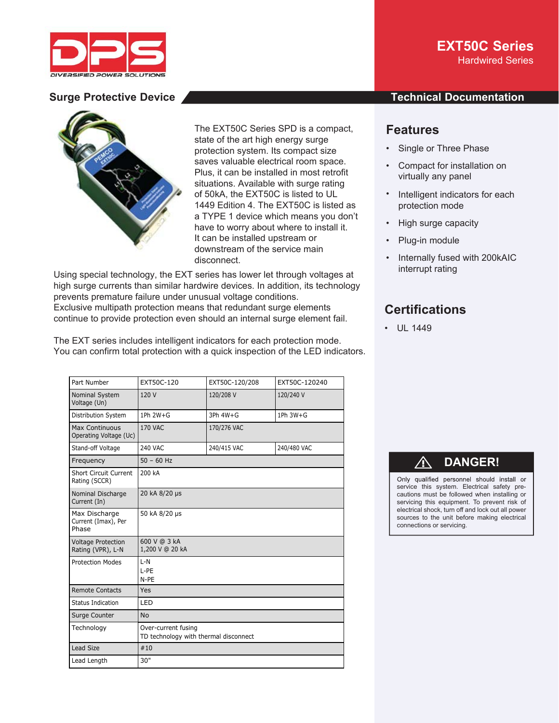



The EXT50C Series SPD is a compact, T state of the art high energy surge protection system. Its compact size p saves valuable electrical room space. sa Plus, it can be installed in most retrofit P situations. Available with surge rating si of 50kA, the EXT50C is listed to UL of 1449 Edition 4. The EXT50C is listed as 14 a TYPE 1 device which means you don't have to worry about where to install it. ha It can be installed upstream or It downstream of the service main do disconnect. d

Using special technology, the EXT series has lower let through voltages at high surge currents than similar hardwire devices. In addition, its technology prevents premature failure under unusual voltage conditions. Exclusive multipath protection means that redundant surge elements continue to provide protection even should an internal surge element fail.

The EXT series includes intelligent indicators for each protection mode. You can confirm total protection with a quick inspection of the LED indicators.

| Part Number                                     | EXT50C-120                                                   | EXT50C-120/208 | EXT50C-120240  |
|-------------------------------------------------|--------------------------------------------------------------|----------------|----------------|
| Nominal System<br>Voltage (Un)                  | 120 V                                                        | 120/208 V      | 120/240 V      |
| Distribution System                             | 1Ph 2W+G                                                     | $3Ph 4W + G$   | $1Ph$ $3W + G$ |
| <b>Max Continuous</b><br>Operating Voltage (Uc) | <b>170 VAC</b>                                               | 170/276 VAC    |                |
| Stand-off Voltage                               | <b>240 VAC</b>                                               | 240/415 VAC    | 240/480 VAC    |
| Frequency                                       | $50 - 60$ Hz                                                 |                |                |
| <b>Short Circuit Current</b><br>Rating (SCCR)   | 200 kA                                                       |                |                |
| Nominal Discharge<br>Current (In)               | 20 kA 8/20 µs                                                |                |                |
| Max Discharge<br>Current (Imax), Per<br>Phase   | 50 kA 8/20 µs                                                |                |                |
| <b>Voltage Protection</b><br>Rating (VPR), L-N  | 600 V @ 3 kA<br>1,200 V @ 20 kA                              |                |                |
| <b>Protection Modes</b>                         | $L-N$<br>L-PE<br>N-PE                                        |                |                |
| <b>Remote Contacts</b>                          | Yes                                                          |                |                |
| Status Indication                               | LED                                                          |                |                |
| Surge Counter                                   | <b>No</b>                                                    |                |                |
| Technology                                      | Over-current fusing<br>TD technology with thermal disconnect |                |                |
| Lead Size                                       | #10                                                          |                |                |
| Lead Length                                     | 30"                                                          |                |                |

## **EXT50C Series** Hardwired Series

## **Surge Protective Device Technical Documentation**

# **Features**

- Single or Three Phase
- Compact for installation on virtually any panel
- Intelligent indicators for each protection mode
- High surge capacity
- Plug-in module
- Internally fused with 200kAIC interrupt rating

# **Certifications**

• UL 1449

# ⚠ **DANGER!**

Only qualified personnel should install or service this system. Electrical safety precautions must be followed when installing or servicing this equipment. To prevent risk of electrical shock, turn off and lock out all power sources to the unit before making electrical connections or servicing.